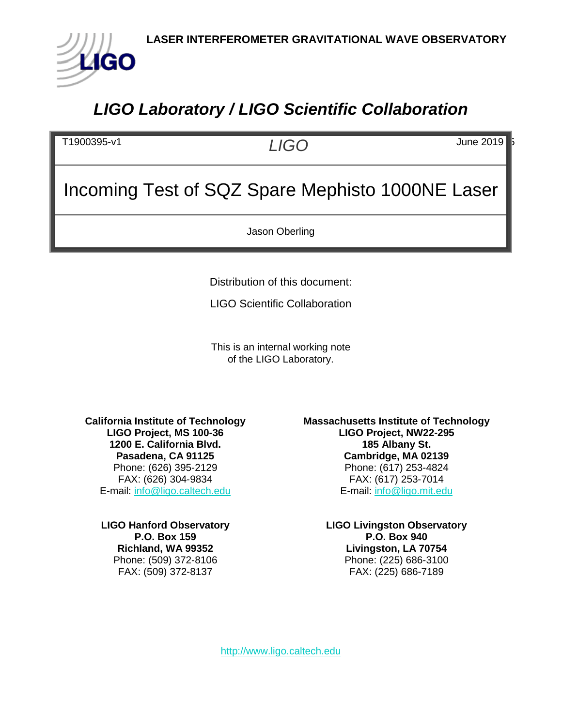

## *LIGO Laboratory / LIGO Scientific Collaboration*

T1900395-v1 *LIGO* June 2019 5

# Incoming Test of SQZ Spare Mephisto 1000NE Laser

Jason Oberling

Distribution of this document:

LIGO Scientific Collaboration

This is an internal working note of the LIGO Laboratory.

**California Institute of Technology LIGO Project, MS 100-36 1200 E. California Blvd. Pasadena, CA 91125** Phone: (626) 395-2129 FAX: (626) 304-9834 E-mail: [info@ligo.caltech.edu](mailto:info@ligo.caltech.edu)

**LIGO Hanford Observatory P.O. Box 159 Richland, WA 99352** Phone: (509) 372-8106 FAX: (509) 372-8137

**Massachusetts Institute of Technology LIGO Project, NW22-295 185 Albany St. Cambridge, MA 02139** Phone: (617) 253-4824 FAX: (617) 253-7014 E-mail: [info@ligo.mit.edu](mailto:info@ligo.mit.edu)

> **LIGO Livingston Observatory P.O. Box 940 Livingston, LA 70754** Phone: (225) 686-3100 FAX: (225) 686-7189

[http://www.ligo.caltech.edu](http://www.ligo.caltech.edu/)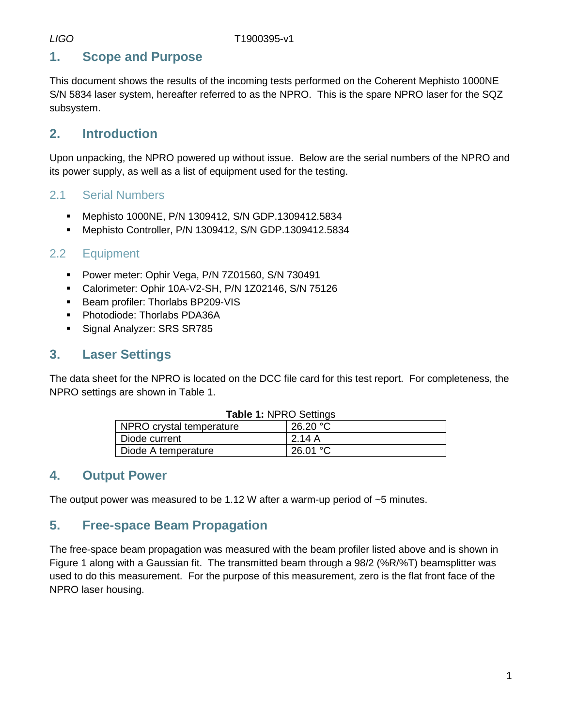## **1. Scope and Purpose**

This document shows the results of the incoming tests performed on the Coherent Mephisto 1000NE S/N 5834 laser system, hereafter referred to as the NPRO. This is the spare NPRO laser for the SQZ subsystem.

## **2. Introduction**

Upon unpacking, the NPRO powered up without issue. Below are the serial numbers of the NPRO and its power supply, as well as a list of equipment used for the testing.

#### 2.1 Serial Numbers

- Mephisto 1000NE, P/N 1309412, S/N GDP.1309412.5834
- Mephisto Controller, P/N 1309412, S/N GDP.1309412.5834

#### 2.2 Equipment

- Power meter: Ophir Vega, P/N 7Z01560, S/N 730491
- Calorimeter: Ophir 10A-V2-SH, P/N 1Z02146, S/N 75126
- **Beam profiler: Thorlabs BP209-VIS**
- **Photodiode: Thorlabs PDA36A**
- Signal Analyzer: SRS SR785

## **3. Laser Settings**

<span id="page-1-0"></span>The data sheet for the NPRO is located on the DCC file card for this test report. For completeness, the NPRO settings are shown in [Table 1.](#page-1-0)

| <b>Table 1: NPRO Settings</b> |                    |  |
|-------------------------------|--------------------|--|
| NPRO crystal temperature      | 26.20 °C           |  |
| Diode current                 | 2.14A              |  |
| Diode A temperature           | 26.01 $^{\circ}$ C |  |

## **4. Output Power**

The output power was measured to be 1.12 W after a warm-up period of  $\sim$ 5 minutes.

## **5. Free-space Beam Propagation**

The free-space beam propagation was measured with the beam profiler listed above and is shown in [Figure 1](#page-2-0) along with a Gaussian fit. The transmitted beam through a 98/2 (%R/%T) beamsplitter was used to do this measurement. For the purpose of this measurement, zero is the flat front face of the NPRO laser housing.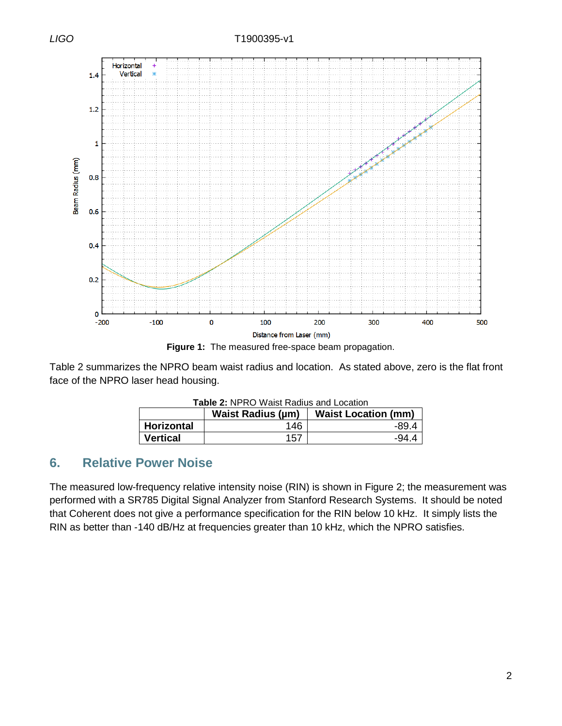*LIGO* T1900395-v1



**Figure 1:** The measured free-space beam propagation.

<span id="page-2-1"></span><span id="page-2-0"></span>[Table 2](#page-2-1) summarizes the NPRO beam waist radius and location. As stated above, zero is the flat front face of the NPRO laser head housing.

| <b>Table 2: NPRO Waist Radius and Location</b> |                          |                            |  |
|------------------------------------------------|--------------------------|----------------------------|--|
|                                                | <b>Waist Radius (µm)</b> | <b>Waist Location (mm)</b> |  |
| Horizontal                                     | 146                      | -89.4                      |  |
| <b>Vertical</b>                                | 157                      | $-94.4$                    |  |

#### **6. Relative Power Noise**

The measured low-frequency relative intensity noise (RIN) is shown in [Figure 2;](#page-3-0) the measurement was performed with a SR785 Digital Signal Analyzer from Stanford Research Systems. It should be noted that Coherent does not give a performance specification for the RIN below 10 kHz. It simply lists the RIN as better than -140 dB/Hz at frequencies greater than 10 kHz, which the NPRO satisfies.